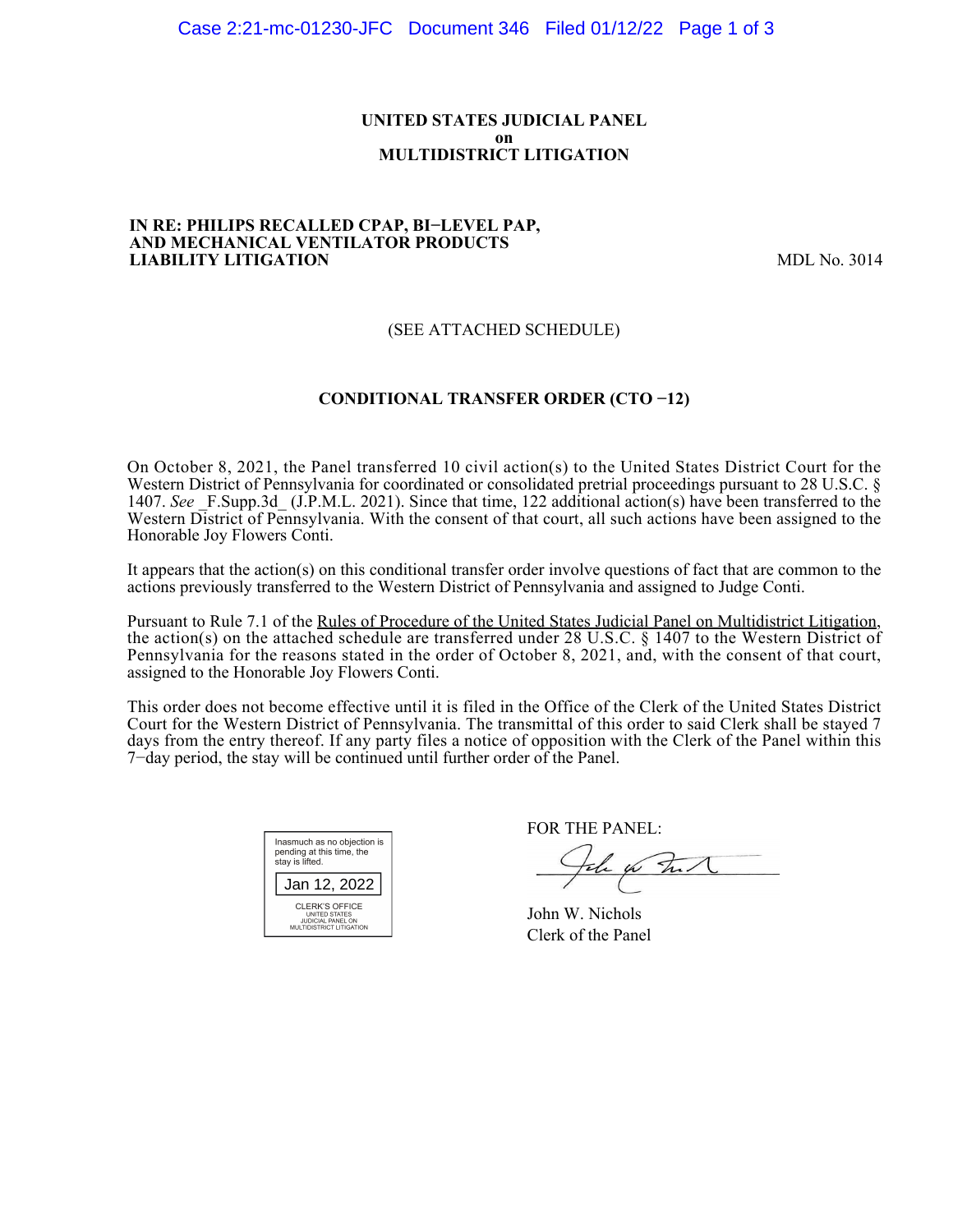### **UNITED STATES JUDICIAL PANEL on MULTIDISTRICT LITIGATION**

#### **IN RE: PHILIPS RECALLED CPAP, BI−LEVEL PAP, AND MECHANICAL VENTILATOR PRODUCTS LIABILITY LITIGATION** MDL No. 3014

## (SEE ATTACHED SCHEDULE)

## **CONDITIONAL TRANSFER ORDER (CTO −12)**

On October 8, 2021, the Panel transferred 10 civil action(s) to the United States District Court for the Western District of Pennsylvania for coordinated or consolidated pretrial proceedings pursuant to 28 U.S.C. § 1407. See F.Supp.3d (J.P.M.L. 2021). Since that time, 122 additional action(s) have been transferred to the Western District of Pennsylvania. With the consent of that court, all such actions have been assigned to the Honorable Joy Flowers Conti.

It appears that the action(s) on this conditional transfer order involve questions of fact that are common to the actions previously transferred to the Western District of Pennsylvania and assigned to Judge Conti.

Pursuant to Rule 7.1 of the Rules of Procedure of the United States Judicial Panel on Multidistrict Litigation, the action(s) on the attached schedule are transferred under 28 U.S.C. § 1407 to the Western District of Pennsylvania for the reasons stated in the order of October 8, 2021, and, with the consent of that court, assigned to the Honorable Joy Flowers Conti.

This order does not become effective until it is filed in the Office of the Clerk of the United States District Court for the Western District of Pennsylvania. The transmittal of this order to said Clerk shall be stayed 7 days from the entry thereof. If any party files a notice of opposition with the Clerk of the Panel within this 7−day period, the stay will be continued until further order of the Panel.

| Inasmuch as no objection is<br>pending at this time, the<br>stay is lifted.             |  |  |  |
|-----------------------------------------------------------------------------------------|--|--|--|
| Jan 12, 2022                                                                            |  |  |  |
| CLERK'S OFFICE<br>UNITED STATES<br><b>JUDICIAL PANEL ON</b><br>MULTIDISTRICT LITIGATION |  |  |  |

FOR THE PANEL:

John for Full

John W. Nichols Clerk of the Panel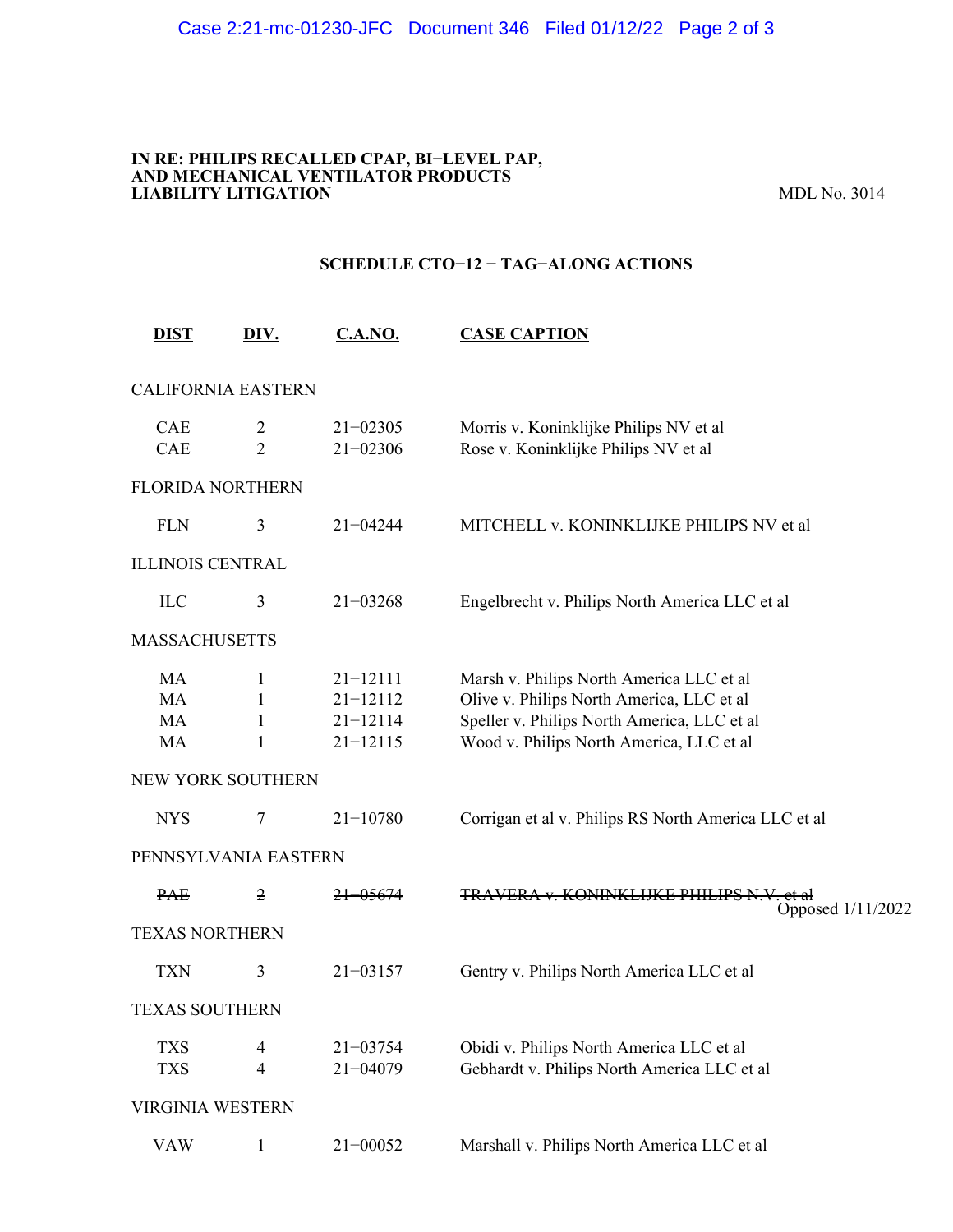#### **IN RE: PHILIPS RECALLED CPAP, BI−LEVEL PAP, AND MECHANICAL VENTILATOR PRODUCTS LIABILITY LITIGATION** MDL No. 3014

## **SCHEDULE CTO−12 − TAG−ALONG ACTIONS**

| <b>DIST</b>                 | DIV.                             | <b>C.A.NO.</b>                                               | <b>CASE CAPTION</b>                                                                                                                                                              |
|-----------------------------|----------------------------------|--------------------------------------------------------------|----------------------------------------------------------------------------------------------------------------------------------------------------------------------------------|
| <b>CALIFORNIA EASTERN</b>   |                                  |                                                              |                                                                                                                                                                                  |
| CAE<br>CAE                  | $\overline{2}$<br>$\overline{2}$ | $21 - 02305$<br>$21 - 02306$                                 | Morris v. Koninklijke Philips NV et al<br>Rose v. Koninklijke Philips NV et al                                                                                                   |
| <b>FLORIDA NORTHERN</b>     |                                  |                                                              |                                                                                                                                                                                  |
| <b>FLN</b>                  | 3                                | $21 - 04244$                                                 | MITCHELL v. KONINKLIJKE PHILIPS NV et al                                                                                                                                         |
| <b>ILLINOIS CENTRAL</b>     |                                  |                                                              |                                                                                                                                                                                  |
| ILC                         | 3                                | $21 - 03268$                                                 | Engelbrecht v. Philips North America LLC et al                                                                                                                                   |
| <b>MASSACHUSETTS</b>        |                                  |                                                              |                                                                                                                                                                                  |
| MA<br><b>MA</b><br>MA<br>MA | 1<br>1<br>1<br>1                 | $21 - 12111$<br>$21 - 12112$<br>$21 - 12114$<br>$21 - 12115$ | Marsh v. Philips North America LLC et al<br>Olive v. Philips North America, LLC et al<br>Speller v. Philips North America, LLC et al<br>Wood v. Philips North America, LLC et al |
| NEW YORK SOUTHERN           |                                  |                                                              |                                                                                                                                                                                  |
| <b>NYS</b>                  | 7                                | $21 - 10780$                                                 | Corrigan et al v. Philips RS North America LLC et al                                                                                                                             |
| PENNSYLVANIA EASTERN        |                                  |                                                              |                                                                                                                                                                                  |
| <del>PAE</del>              | $\overline{2}$                   | <del>21–05674</del>                                          | <b>TRAVERA v. KONINKLIJKE PHILIPS N.V. et al.</b><br>Opposed 1/11/2022                                                                                                           |
| <b>TEXAS NORTHERN</b>       |                                  |                                                              |                                                                                                                                                                                  |
| <b>TXN</b>                  | 3                                | $21 - 03157$                                                 | Gentry v. Philips North America LLC et al                                                                                                                                        |
| <b>TEXAS SOUTHERN</b>       |                                  |                                                              |                                                                                                                                                                                  |
| <b>TXS</b><br><b>TXS</b>    | 4<br>4                           | $21 - 03754$<br>$21 - 04079$                                 | Obidi v. Philips North America LLC et al<br>Gebhardt v. Philips North America LLC et al                                                                                          |
| <b>VIRGINIA WESTERN</b>     |                                  |                                                              |                                                                                                                                                                                  |
| <b>VAW</b>                  | $\mathbf{1}$                     | $21 - 00052$                                                 | Marshall v. Philips North America LLC et al                                                                                                                                      |
|                             |                                  |                                                              |                                                                                                                                                                                  |